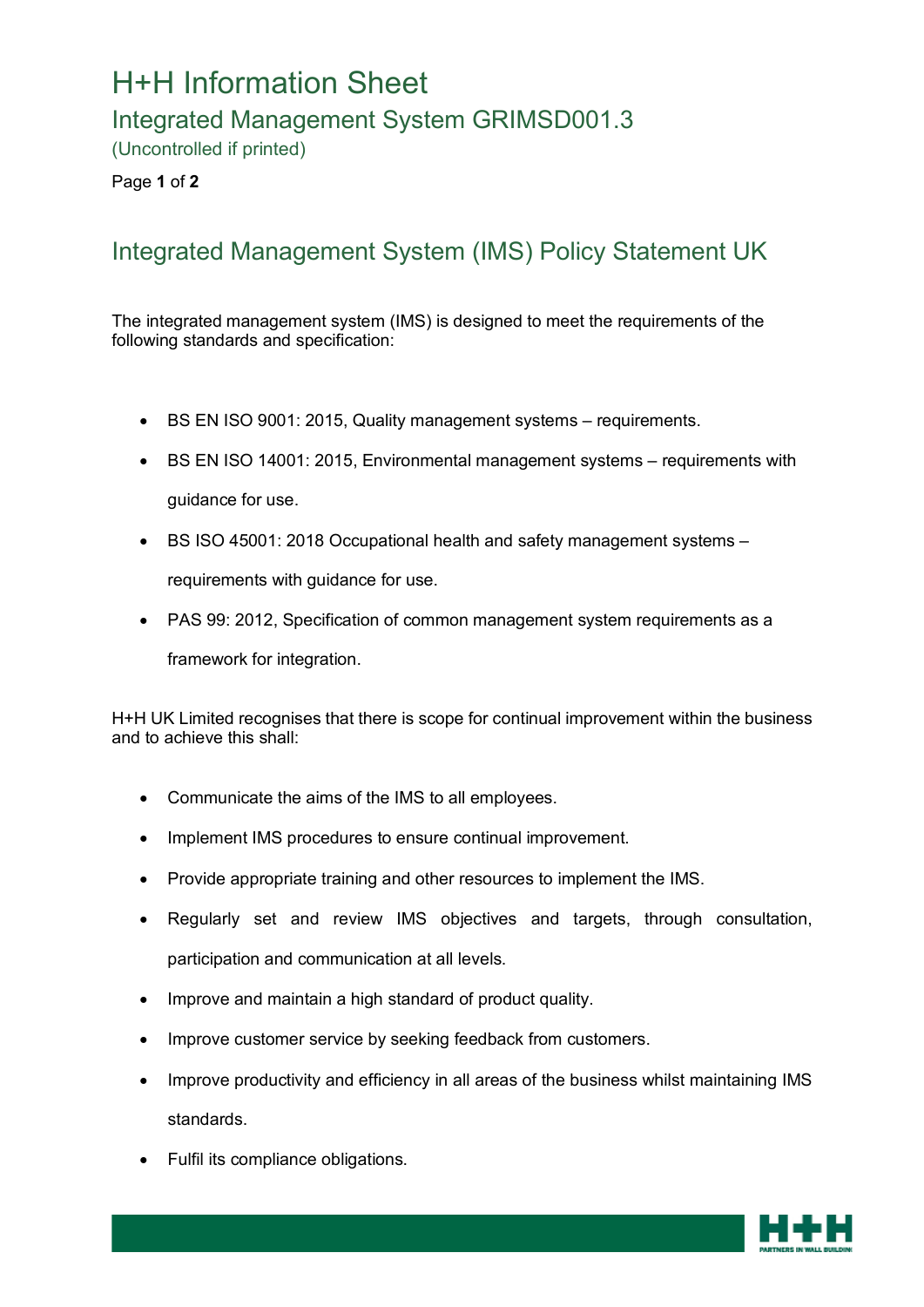## H+H Information Sheet

## Integrated Management System GRIMSD001.3

(Uncontrolled if printed)

Page **1** of **2**

## Integrated Management System (IMS) Policy Statement UK

The integrated management system (IMS) is designed to meet the requirements of the following standards and specification:

- BS EN ISO 9001: 2015, Quality management systems requirements.
- BS EN ISO 14001: 2015, Environmental management systems requirements with guidance for use.
- BS ISO 45001: 2018 Occupational health and safety management systems requirements with guidance for use.
- PAS 99: 2012, Specification of common management system requirements as a framework for integration.

H+H UK Limited recognises that there is scope for continual improvement within the business and to achieve this shall:

- Communicate the aims of the IMS to all employees.
- Implement IMS procedures to ensure continual improvement.
- Provide appropriate training and other resources to implement the IMS.
- Regularly set and review IMS objectives and targets, through consultation, participation and communication at all levels.
- Improve and maintain a high standard of product quality.
- Improve customer service by seeking feedback from customers.
- Improve productivity and efficiency in all areas of the business whilst maintaining IMS standards.
- Fulfil its compliance obligations.